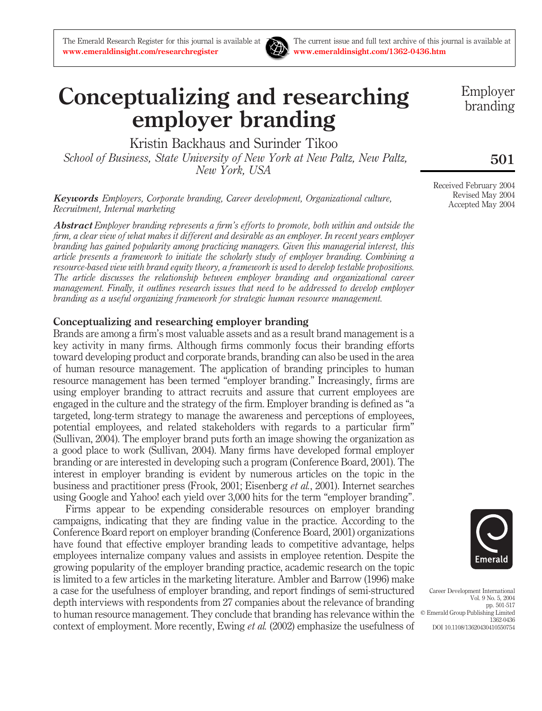

The Emerald Research Register for this journal is available at  $\sum_{n=1}^{\infty}$  The current issue and full text archive of this journal is available at

# Conceptualizing and researching employer branding

Kristin Backhaus and Surinder Tikoo

School of Business, State University of New York at New Paltz, New Paltz, New York, USA

Keywords Employers, Corporate branding, Career development, Organizational culture, Recruitment, Internal marketing

Abstract Employer branding represents a firm's efforts to promote, both within and outside the firm, a clear view of what makes it different and desirable as an employer. In recent years employer branding has gained popularity among practicing managers. Given this managerial interest, this article presents a framework to initiate the scholarly study of employer branding. Combining a resource-based view with brand equity theory, a framework is used to develop testable propositions. The article discusses the relationship between employer branding and organizational career management. Finally, it outlines research issues that need to be addressed to develop employer branding as a useful organizing framework for strategic human resource management.

## Conceptualizing and researching employer branding

Brands are among a firm's most valuable assets and as a result brand management is a key activity in many firms. Although firms commonly focus their branding efforts toward developing product and corporate brands, branding can also be used in the area of human resource management. The application of branding principles to human resource management has been termed "employer branding." Increasingly, firms are using employer branding to attract recruits and assure that current employees are engaged in the culture and the strategy of the firm. Employer branding is defined as "a targeted, long-term strategy to manage the awareness and perceptions of employees, potential employees, and related stakeholders with regards to a particular firm" (Sullivan, 2004). The employer brand puts forth an image showing the organization as a good place to work (Sullivan, 2004). Many firms have developed formal employer branding or are interested in developing such a program (Conference Board, 2001). The interest in employer branding is evident by numerous articles on the topic in the business and practitioner press (Frook, 2001; Eisenberg et al., 2001). Internet searches using Google and Yahoo! each yield over 3,000 hits for the term "employer branding".

Firms appear to be expending considerable resources on employer branding campaigns, indicating that they are finding value in the practice. According to the Conference Board report on employer branding (Conference Board, 2001) organizations have found that effective employer branding leads to competitive advantage, helps employees internalize company values and assists in employee retention. Despite the growing popularity of the employer branding practice, academic research on the topic is limited to a few articles in the marketing literature. Ambler and Barrow (1996) make a case for the usefulness of employer branding, and report findings of semi-structured depth interviews with respondents from 27 companies about the relevance of branding to human resource management. They conclude that branding has relevance within the context of employment. More recently, Ewing et al. (2002) emphasize the usefulness of

Employer branding

# 501

Received February 2004 Revised May 2004 Accepted May 2004



Career Development International Vol. 9 No. 5, 2004 pp. 501-517  $©$  Emerald Group Publishing Limited 1362-0436 DOI 10.1108/13620430410550754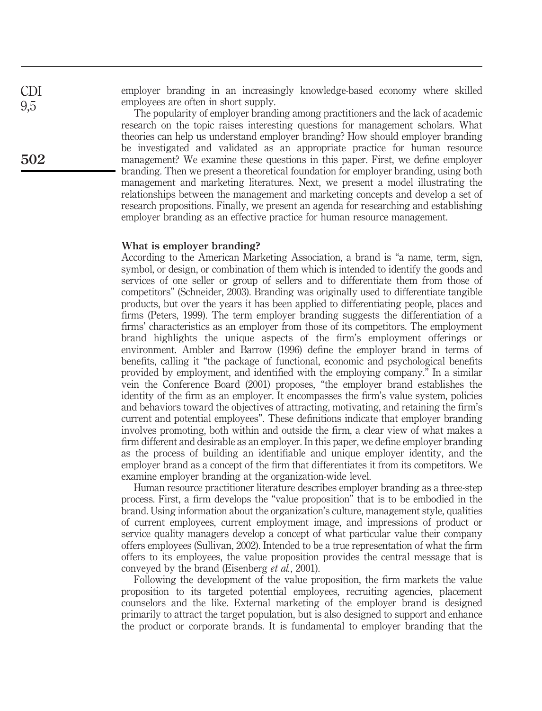employer branding in an increasingly knowledge-based economy where skilled employees are often in short supply.

The popularity of employer branding among practitioners and the lack of academic research on the topic raises interesting questions for management scholars. What theories can help us understand employer branding? How should employer branding be investigated and validated as an appropriate practice for human resource management? We examine these questions in this paper. First, we define employer branding. Then we present a theoretical foundation for employer branding, using both management and marketing literatures. Next, we present a model illustrating the relationships between the management and marketing concepts and develop a set of research propositions. Finally, we present an agenda for researching and establishing employer branding as an effective practice for human resource management.

#### What is employer branding?

According to the American Marketing Association, a brand is "a name, term, sign, symbol, or design, or combination of them which is intended to identify the goods and services of one seller or group of sellers and to differentiate them from those of competitors" (Schneider, 2003). Branding was originally used to differentiate tangible products, but over the years it has been applied to differentiating people, places and firms (Peters, 1999). The term employer branding suggests the differentiation of a firms' characteristics as an employer from those of its competitors. The employment brand highlights the unique aspects of the firm's employment offerings or environment. Ambler and Barrow (1996) define the employer brand in terms of benefits, calling it "the package of functional, economic and psychological benefits provided by employment, and identified with the employing company." In a similar vein the Conference Board (2001) proposes, "the employer brand establishes the identity of the firm as an employer. It encompasses the firm's value system, policies and behaviors toward the objectives of attracting, motivating, and retaining the firm's current and potential employees". These definitions indicate that employer branding involves promoting, both within and outside the firm, a clear view of what makes a firm different and desirable as an employer. In this paper, we define employer branding as the process of building an identifiable and unique employer identity, and the employer brand as a concept of the firm that differentiates it from its competitors. We examine employer branding at the organization-wide level.

Human resource practitioner literature describes employer branding as a three-step process. First, a firm develops the "value proposition" that is to be embodied in the brand. Using information about the organization's culture, management style, qualities of current employees, current employment image, and impressions of product or service quality managers develop a concept of what particular value their company offers employees (Sullivan, 2002). Intended to be a true representation of what the firm offers to its employees, the value proposition provides the central message that is conveyed by the brand (Eisenberg et al., 2001).

Following the development of the value proposition, the firm markets the value proposition to its targeted potential employees, recruiting agencies, placement counselors and the like. External marketing of the employer brand is designed primarily to attract the target population, but is also designed to support and enhance the product or corporate brands. It is fundamental to employer branding that the

502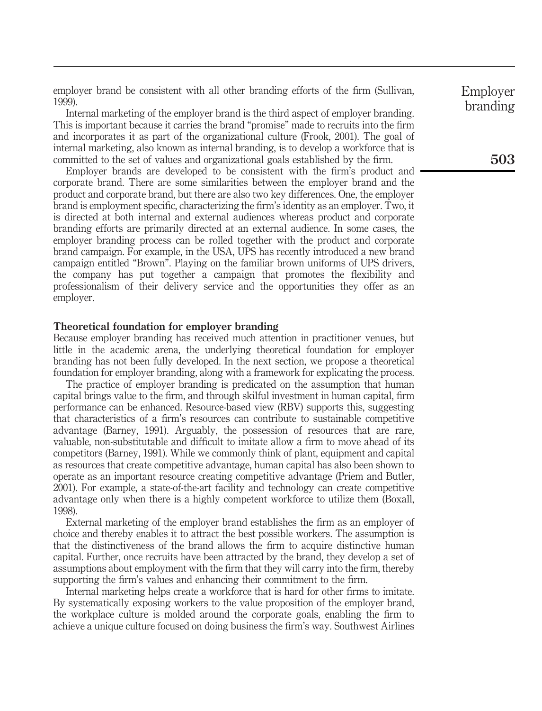employer brand be consistent with all other branding efforts of the firm (Sullivan, 1999).

Internal marketing of the employer brand is the third aspect of employer branding. This is important because it carries the brand "promise" made to recruits into the firm and incorporates it as part of the organizational culture (Frook, 2001). The goal of internal marketing, also known as internal branding, is to develop a workforce that is committed to the set of values and organizational goals established by the firm.

Employer brands are developed to be consistent with the firm's product and corporate brand. There are some similarities between the employer brand and the product and corporate brand, but there are also two key differences. One, the employer brand is employment specific, characterizing the firm's identity as an employer. Two, it is directed at both internal and external audiences whereas product and corporate branding efforts are primarily directed at an external audience. In some cases, the employer branding process can be rolled together with the product and corporate brand campaign. For example, in the USA, UPS has recently introduced a new brand campaign entitled "Brown". Playing on the familiar brown uniforms of UPS drivers, the company has put together a campaign that promotes the flexibility and professionalism of their delivery service and the opportunities they offer as an employer.

#### Theoretical foundation for employer branding

Because employer branding has received much attention in practitioner venues, but little in the academic arena, the underlying theoretical foundation for employer branding has not been fully developed. In the next section, we propose a theoretical foundation for employer branding, along with a framework for explicating the process.

The practice of employer branding is predicated on the assumption that human capital brings value to the firm, and through skilful investment in human capital, firm performance can be enhanced. Resource-based view (RBV) supports this, suggesting that characteristics of a firm's resources can contribute to sustainable competitive advantage (Barney, 1991). Arguably, the possession of resources that are rare, valuable, non-substitutable and difficult to imitate allow a firm to move ahead of its competitors (Barney, 1991). While we commonly think of plant, equipment and capital as resources that create competitive advantage, human capital has also been shown to operate as an important resource creating competitive advantage (Priem and Butler, 2001). For example, a state-of-the-art facility and technology can create competitive advantage only when there is a highly competent workforce to utilize them (Boxall, 1998).

External marketing of the employer brand establishes the firm as an employer of choice and thereby enables it to attract the best possible workers. The assumption is that the distinctiveness of the brand allows the firm to acquire distinctive human capital. Further, once recruits have been attracted by the brand, they develop a set of assumptions about employment with the firm that they will carry into the firm, thereby supporting the firm's values and enhancing their commitment to the firm.

Internal marketing helps create a workforce that is hard for other firms to imitate. By systematically exposing workers to the value proposition of the employer brand, the workplace culture is molded around the corporate goals, enabling the firm to achieve a unique culture focused on doing business the firm's way. Southwest Airlines Employer branding

503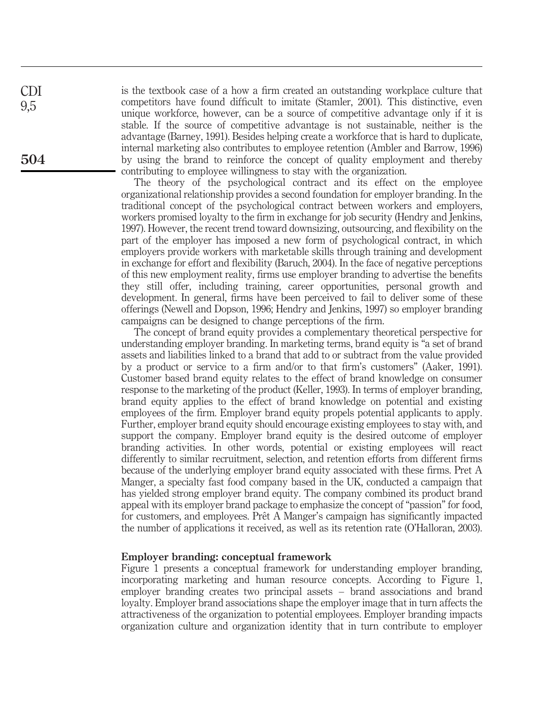is the textbook case of a how a firm created an outstanding workplace culture that competitors have found difficult to imitate (Stamler, 2001). This distinctive, even unique workforce, however, can be a source of competitive advantage only if it is stable. If the source of competitive advantage is not sustainable, neither is the advantage (Barney, 1991). Besides helping create a workforce that is hard to duplicate, internal marketing also contributes to employee retention (Ambler and Barrow, 1996) by using the brand to reinforce the concept of quality employment and thereby contributing to employee willingness to stay with the organization.

The theory of the psychological contract and its effect on the employee organizational relationship provides a second foundation for employer branding. In the traditional concept of the psychological contract between workers and employers, workers promised loyalty to the firm in exchange for job security (Hendry and Jenkins, 1997). However, the recent trend toward downsizing, outsourcing, and flexibility on the part of the employer has imposed a new form of psychological contract, in which employers provide workers with marketable skills through training and development in exchange for effort and flexibility (Baruch, 2004). In the face of negative perceptions of this new employment reality, firms use employer branding to advertise the benefits they still offer, including training, career opportunities, personal growth and development. In general, firms have been perceived to fail to deliver some of these offerings (Newell and Dopson, 1996; Hendry and Jenkins, 1997) so employer branding campaigns can be designed to change perceptions of the firm.

The concept of brand equity provides a complementary theoretical perspective for understanding employer branding. In marketing terms, brand equity is "a set of brand assets and liabilities linked to a brand that add to or subtract from the value provided by a product or service to a firm and/or to that firm's customers" (Aaker, 1991). Customer based brand equity relates to the effect of brand knowledge on consumer response to the marketing of the product (Keller, 1993). In terms of employer branding, brand equity applies to the effect of brand knowledge on potential and existing employees of the firm. Employer brand equity propels potential applicants to apply. Further, employer brand equity should encourage existing employees to stay with, and support the company. Employer brand equity is the desired outcome of employer branding activities. In other words, potential or existing employees will react differently to similar recruitment, selection, and retention efforts from different firms because of the underlying employer brand equity associated with these firms. Pret A Manger, a specialty fast food company based in the UK, conducted a campaign that has yielded strong employer brand equity. The company combined its product brand appeal with its employer brand package to emphasize the concept of "passion" for food, for customers, and employees. Prêt A Manger's campaign has significantly impacted the number of applications it received, as well as its retention rate (O'Halloran, 2003).

#### Employer branding: conceptual framework

Figure 1 presents a conceptual framework for understanding employer branding, incorporating marketing and human resource concepts. According to Figure 1, employer branding creates two principal assets – brand associations and brand loyalty. Employer brand associations shape the employer image that in turn affects the attractiveness of the organization to potential employees. Employer branding impacts organization culture and organization identity that in turn contribute to employer

504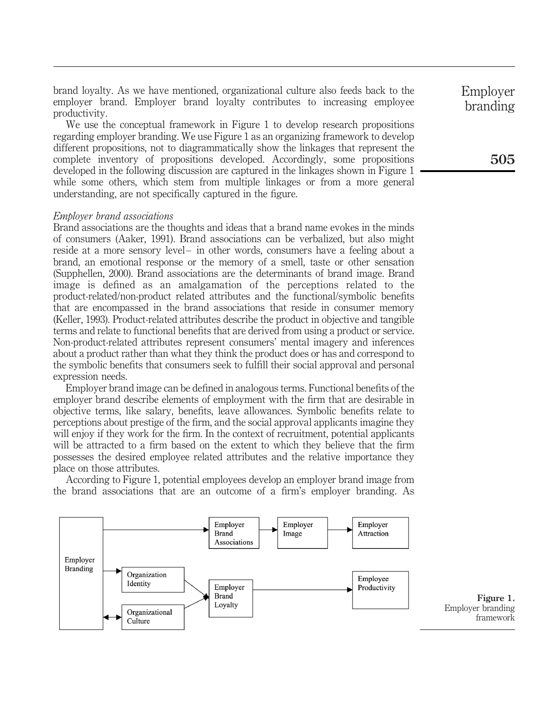brand loyalty. As we have mentioned, organizational culture also feeds back to the employer brand. Employer brand loyalty contributes to increasing employee productivity.

We use the conceptual framework in Figure 1 to develop research propositions regarding employer branding. We use Figure 1 as an organizing framework to develop different propositions, not to diagrammatically show the linkages that represent the complete inventory of propositions developed. Accordingly, some propositions developed in the following discussion are captured in the linkages shown in Figure 1 while some others, which stem from multiple linkages or from a more general understanding, are not specifically captured in the figure.

#### Employer brand associations

Brand associations are the thoughts and ideas that a brand name evokes in the minds of consumers (Aaker, 1991). Brand associations can be verbalized, but also might reside at a more sensory level – in other words, consumers have a feeling about a brand, an emotional response or the memory of a smell, taste or other sensation (Supphellen, 2000). Brand associations are the determinants of brand image. Brand image is defined as an amalgamation of the perceptions related to the product-related/non-product related attributes and the functional/symbolic benefits that are encompassed in the brand associations that reside in consumer memory (Keller, 1993). Product-related attributes describe the product in objective and tangible terms and relate to functional benefits that are derived from using a product or service. Non-product-related attributes represent consumers' mental imagery and inferences about a product rather than what they think the product does or has and correspond to the symbolic benefits that consumers seek to fulfill their social approval and personal expression needs.

Employer brand image can be defined in analogous terms. Functional benefits of the employer brand describe elements of employment with the firm that are desirable in objective terms, like salary, benefits, leave allowances. Symbolic benefits relate to perceptions about prestige of the firm, and the social approval applicants imagine they will enjoy if they work for the firm. In the context of recruitment, potential applicants will be attracted to a firm based on the extent to which they believe that the firm possesses the desired employee related attributes and the relative importance they place on those attributes.

According to Figure 1, potential employees develop an employer brand image from the brand associations that are an outcome of a firm's employer branding. As



Employer branding

505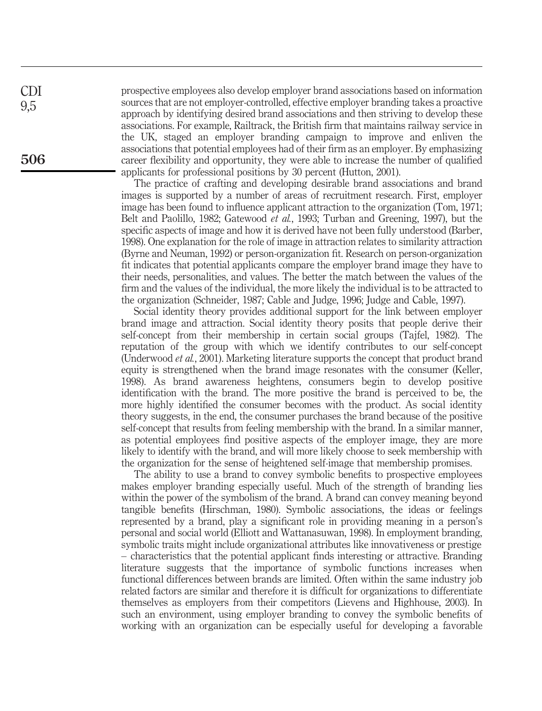prospective employees also develop employer brand associations based on information sources that are not employer-controlled, effective employer branding takes a proactive approach by identifying desired brand associations and then striving to develop these associations. For example, Railtrack, the British firm that maintains railway service in the UK, staged an employer branding campaign to improve and enliven the associations that potential employees had of their firm as an employer. By emphasizing career flexibility and opportunity, they were able to increase the number of qualified applicants for professional positions by 30 percent (Hutton, 2001).

The practice of crafting and developing desirable brand associations and brand images is supported by a number of areas of recruitment research. First, employer image has been found to influence applicant attraction to the organization (Tom, 1971; Belt and Paolillo, 1982; Gatewood et al., 1993; Turban and Greening, 1997), but the specific aspects of image and how it is derived have not been fully understood (Barber, 1998). One explanation for the role of image in attraction relates to similarity attraction (Byrne and Neuman, 1992) or person-organization fit. Research on person-organization fit indicates that potential applicants compare the employer brand image they have to their needs, personalities, and values. The better the match between the values of the firm and the values of the individual, the more likely the individual is to be attracted to the organization (Schneider, 1987; Cable and Judge, 1996; Judge and Cable, 1997).

Social identity theory provides additional support for the link between employer brand image and attraction. Social identity theory posits that people derive their self-concept from their membership in certain social groups (Tajfel, 1982). The reputation of the group with which we identify contributes to our self-concept (Underwood et al., 2001). Marketing literature supports the concept that product brand equity is strengthened when the brand image resonates with the consumer (Keller, 1998). As brand awareness heightens, consumers begin to develop positive identification with the brand. The more positive the brand is perceived to be, the more highly identified the consumer becomes with the product. As social identity theory suggests, in the end, the consumer purchases the brand because of the positive self-concept that results from feeling membership with the brand. In a similar manner, as potential employees find positive aspects of the employer image, they are more likely to identify with the brand, and will more likely choose to seek membership with the organization for the sense of heightened self-image that membership promises.

The ability to use a brand to convey symbolic benefits to prospective employees makes employer branding especially useful. Much of the strength of branding lies within the power of the symbolism of the brand. A brand can convey meaning beyond tangible benefits (Hirschman, 1980). Symbolic associations, the ideas or feelings represented by a brand, play a significant role in providing meaning in a person's personal and social world (Elliott and Wattanasuwan, 1998). In employment branding, symbolic traits might include organizational attributes like innovativeness or prestige – characteristics that the potential applicant finds interesting or attractive. Branding literature suggests that the importance of symbolic functions increases when functional differences between brands are limited. Often within the same industry job related factors are similar and therefore it is difficult for organizations to differentiate themselves as employers from their competitors (Lievens and Highhouse, 2003). In such an environment, using employer branding to convey the symbolic benefits of working with an organization can be especially useful for developing a favorable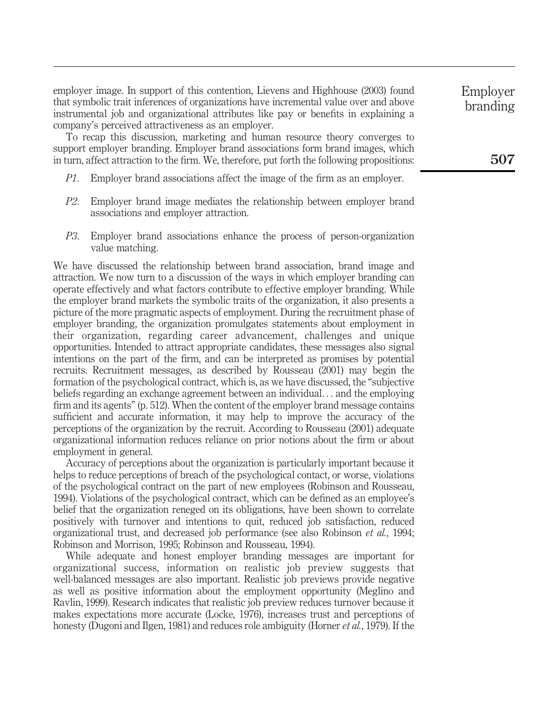employer image. In support of this contention, Lievens and Highhouse (2003) found that symbolic trait inferences of organizations have incremental value over and above instrumental job and organizational attributes like pay or benefits in explaining a company's perceived attractiveness as an employer.

To recap this discussion, marketing and human resource theory converges to support employer branding. Employer brand associations form brand images, which in turn, affect attraction to the firm. We, therefore, put forth the following propositions:

- P1. Employer brand associations affect the image of the firm as an employer.
- P2. Employer brand image mediates the relationship between employer brand associations and employer attraction.
- P3. Employer brand associations enhance the process of person-organization value matching.

We have discussed the relationship between brand association, brand image and attraction. We now turn to a discussion of the ways in which employer branding can operate effectively and what factors contribute to effective employer branding. While the employer brand markets the symbolic traits of the organization, it also presents a picture of the more pragmatic aspects of employment. During the recruitment phase of employer branding, the organization promulgates statements about employment in their organization, regarding career advancement, challenges and unique opportunities. Intended to attract appropriate candidates, these messages also signal intentions on the part of the firm, and can be interpreted as promises by potential recruits. Recruitment messages, as described by Rousseau (2001) may begin the formation of the psychological contract, which is, as we have discussed, the "subjective beliefs regarding an exchange agreement between an individual... and the employing firm and its agents" (p. 512). When the content of the employer brand message contains sufficient and accurate information, it may help to improve the accuracy of the perceptions of the organization by the recruit. According to Rousseau (2001) adequate organizational information reduces reliance on prior notions about the firm or about employment in general.

Accuracy of perceptions about the organization is particularly important because it helps to reduce perceptions of breach of the psychological contact, or worse, violations of the psychological contract on the part of new employees (Robinson and Rousseau, 1994). Violations of the psychological contract, which can be defined as an employee's belief that the organization reneged on its obligations, have been shown to correlate positively with turnover and intentions to quit, reduced job satisfaction, reduced organizational trust, and decreased job performance (see also Robinson et al., 1994; Robinson and Morrison, 1995; Robinson and Rousseau, 1994).

While adequate and honest employer branding messages are important for organizational success, information on realistic job preview suggests that well-balanced messages are also important. Realistic job previews provide negative as well as positive information about the employment opportunity (Meglino and Ravlin, 1999). Research indicates that realistic job preview reduces turnover because it makes expectations more accurate (Locke, 1976), increases trust and perceptions of honesty (Dugoni and Ilgen, 1981) and reduces role ambiguity (Horner et al., 1979). If the branding

Employer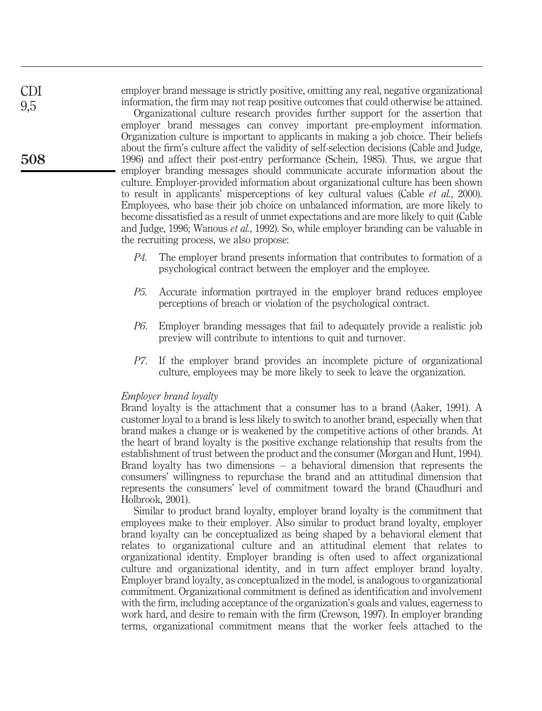employer brand message is strictly positive, omitting any real, negative organizational information, the firm may not reap positive outcomes that could otherwise be attained.

Organizational culture research provides further support for the assertion that employer brand messages can convey important pre-employment information. Organization culture is important to applicants in making a job choice. Their beliefs about the firm's culture affect the validity of self-selection decisions (Cable and Judge, 1996) and affect their post-entry performance (Schein, 1985). Thus, we argue that employer branding messages should communicate accurate information about the culture. Employer-provided information about organizational culture has been shown to result in applicants' misperceptions of key cultural values (Cable et al., 2000). Employees, who base their job choice on unbalanced information, are more likely to become dissatisfied as a result of unmet expectations and are more likely to quit (Cable and Judge, 1996; Wanous et al., 1992). So, while employer branding can be valuable in the recruiting process, we also propose:

- P4. The employer brand presents information that contributes to formation of a psychological contract between the employer and the employee.
- P5. Accurate information portrayed in the employer brand reduces employee perceptions of breach or violation of the psychological contract.
- P6. Employer branding messages that fail to adequately provide a realistic job preview will contribute to intentions to quit and turnover.
- P7. If the employer brand provides an incomplete picture of organizational culture, employees may be more likely to seek to leave the organization.

#### Employer brand loyalty

Brand loyalty is the attachment that a consumer has to a brand (Aaker, 1991). A customer loyal to a brand is less likely to switch to another brand, especially when that brand makes a change or is weakened by the competitive actions of other brands. At the heart of brand loyalty is the positive exchange relationship that results from the establishment of trust between the product and the consumer (Morgan and Hunt, 1994). Brand loyalty has two dimensions – a behavioral dimension that represents the consumers' willingness to repurchase the brand and an attitudinal dimension that represents the consumers' level of commitment toward the brand (Chaudhuri and Holbrook, 2001).

Similar to product brand loyalty, employer brand loyalty is the commitment that employees make to their employer. Also similar to product brand loyalty, employer brand loyalty can be conceptualized as being shaped by a behavioral element that relates to organizational culture and an attitudinal element that relates to organizational identity. Employer branding is often used to affect organizational culture and organizational identity, and in turn affect employer brand loyalty. Employer brand loyalty, as conceptualized in the model, is analogous to organizational commitment. Organizational commitment is defined as identification and involvement with the firm, including acceptance of the organization's goals and values, eagerness to work hard, and desire to remain with the firm (Crewson, 1997). In employer branding terms, organizational commitment means that the worker feels attached to the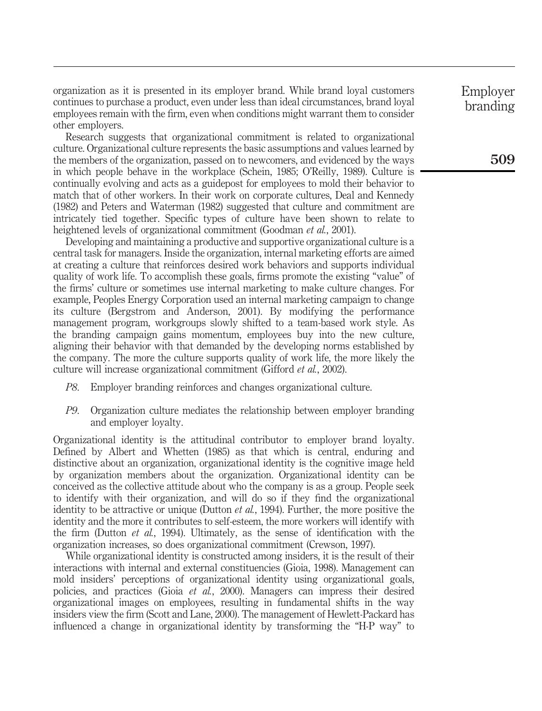organization as it is presented in its employer brand. While brand loyal customers continues to purchase a product, even under less than ideal circumstances, brand loyal employees remain with the firm, even when conditions might warrant them to consider other employers.

Research suggests that organizational commitment is related to organizational culture. Organizational culture represents the basic assumptions and values learned by the members of the organization, passed on to newcomers, and evidenced by the ways in which people behave in the workplace (Schein, 1985; O'Reilly, 1989). Culture is continually evolving and acts as a guidepost for employees to mold their behavior to match that of other workers. In their work on corporate cultures, Deal and Kennedy (1982) and Peters and Waterman (1982) suggested that culture and commitment are intricately tied together. Specific types of culture have been shown to relate to heightened levels of organizational commitment (Goodman *et al.*, 2001).

Developing and maintaining a productive and supportive organizational culture is a central task for managers. Inside the organization, internal marketing efforts are aimed at creating a culture that reinforces desired work behaviors and supports individual quality of work life. To accomplish these goals, firms promote the existing "value" of the firms' culture or sometimes use internal marketing to make culture changes. For example, Peoples Energy Corporation used an internal marketing campaign to change its culture (Bergstrom and Anderson, 2001). By modifying the performance management program, workgroups slowly shifted to a team-based work style. As the branding campaign gains momentum, employees buy into the new culture, aligning their behavior with that demanded by the developing norms established by the company. The more the culture supports quality of work life, the more likely the culture will increase organizational commitment (Gifford et al., 2002).

- P8. Employer branding reinforces and changes organizational culture.
- P9. Organization culture mediates the relationship between employer branding and employer loyalty.

Organizational identity is the attitudinal contributor to employer brand loyalty. Defined by Albert and Whetten (1985) as that which is central, enduring and distinctive about an organization, organizational identity is the cognitive image held by organization members about the organization. Organizational identity can be conceived as the collective attitude about who the company is as a group. People seek to identify with their organization, and will do so if they find the organizational identity to be attractive or unique (Dutton et al., 1994). Further, the more positive the identity and the more it contributes to self-esteem, the more workers will identify with the firm (Dutton et al., 1994). Ultimately, as the sense of identification with the organization increases, so does organizational commitment (Crewson, 1997).

While organizational identity is constructed among insiders, it is the result of their interactions with internal and external constituencies (Gioia, 1998). Management can mold insiders' perceptions of organizational identity using organizational goals, policies, and practices (Gioia et al., 2000). Managers can impress their desired organizational images on employees, resulting in fundamental shifts in the way insiders view the firm (Scott and Lane, 2000). The management of Hewlett-Packard has influenced a change in organizational identity by transforming the "H-P way" to Employer branding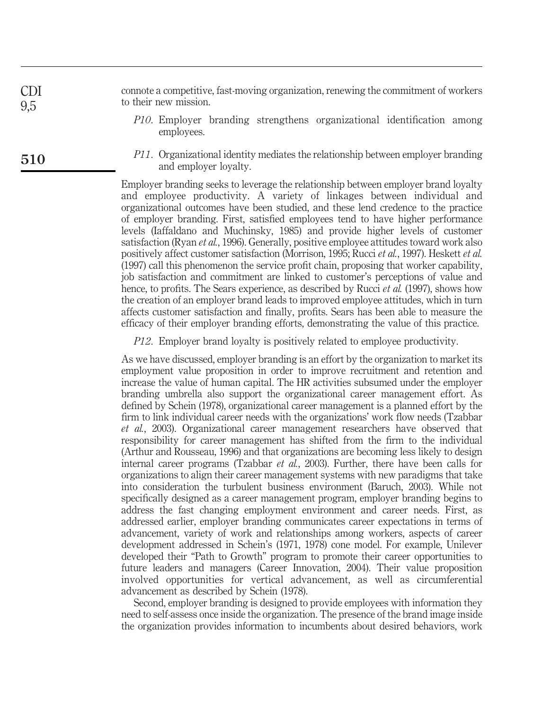connote a competitive, fast-moving organization, renewing the commitment of workers to their new mission.

- P10. Employer branding strengthens organizational identification among employees.
- P11. Organizational identity mediates the relationship between employer branding and employer loyalty.

Employer branding seeks to leverage the relationship between employer brand loyalty and employee productivity. A variety of linkages between individual and organizational outcomes have been studied, and these lend credence to the practice of employer branding. First, satisfied employees tend to have higher performance levels (Iaffaldano and Muchinsky, 1985) and provide higher levels of customer satisfaction (Ryan et al., 1996). Generally, positive employee attitudes toward work also positively affect customer satisfaction (Morrison, 1995; Rucci et al., 1997). Heskett et al. (1997) call this phenomenon the service profit chain, proposing that worker capability, job satisfaction and commitment are linked to customer's perceptions of value and hence, to profits. The Sears experience, as described by Rucci *et al.* (1997), shows how the creation of an employer brand leads to improved employee attitudes, which in turn affects customer satisfaction and finally, profits. Sears has been able to measure the efficacy of their employer branding efforts, demonstrating the value of this practice.

P12. Employer brand loyalty is positively related to employee productivity.

As we have discussed, employer branding is an effort by the organization to market its employment value proposition in order to improve recruitment and retention and increase the value of human capital. The HR activities subsumed under the employer branding umbrella also support the organizational career management effort. As defined by Schein (1978), organizational career management is a planned effort by the firm to link individual career needs with the organizations' work flow needs (Tzabbar et al., 2003). Organizational career management researchers have observed that responsibility for career management has shifted from the firm to the individual (Arthur and Rousseau, 1996) and that organizations are becoming less likely to design internal career programs (Tzabbar et al., 2003). Further, there have been calls for organizations to align their career management systems with new paradigms that take into consideration the turbulent business environment (Baruch, 2003). While not specifically designed as a career management program, employer branding begins to address the fast changing employment environment and career needs. First, as addressed earlier, employer branding communicates career expectations in terms of advancement, variety of work and relationships among workers, aspects of career development addressed in Schein's (1971, 1978) cone model. For example, Unilever developed their "Path to Growth" program to promote their career opportunities to future leaders and managers (Career Innovation, 2004). Their value proposition involved opportunities for vertical advancement, as well as circumferential advancement as described by Schein (1978).

Second, employer branding is designed to provide employees with information they need to self-assess once inside the organization. The presence of the brand image inside the organization provides information to incumbents about desired behaviors, work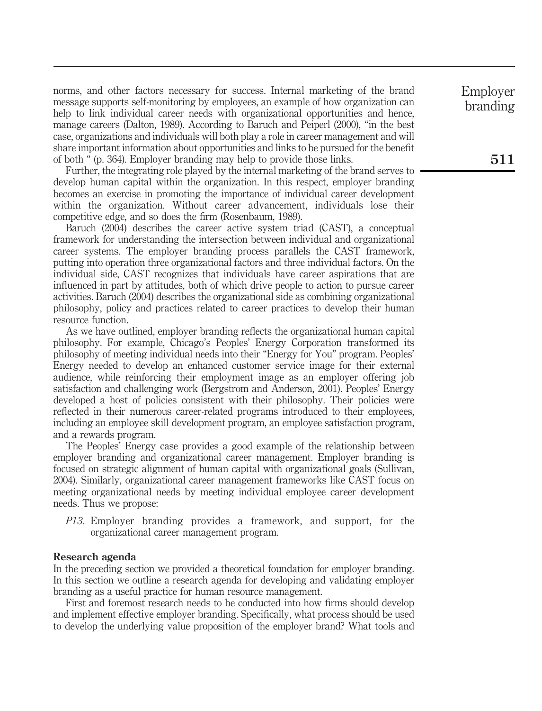norms, and other factors necessary for success. Internal marketing of the brand message supports self-monitoring by employees, an example of how organization can help to link individual career needs with organizational opportunities and hence, manage careers (Dalton, 1989). According to Baruch and Peiperl (2000), "in the best case, organizations and individuals will both play a role in career management and will share important information about opportunities and links to be pursued for the benefit of both " (p. 364). Employer branding may help to provide those links.

Further, the integrating role played by the internal marketing of the brand serves to develop human capital within the organization. In this respect, employer branding becomes an exercise in promoting the importance of individual career development within the organization. Without career advancement, individuals lose their competitive edge, and so does the firm (Rosenbaum, 1989).

Baruch (2004) describes the career active system triad (CAST), a conceptual framework for understanding the intersection between individual and organizational career systems. The employer branding process parallels the CAST framework, putting into operation three organizational factors and three individual factors. On the individual side, CAST recognizes that individuals have career aspirations that are influenced in part by attitudes, both of which drive people to action to pursue career activities. Baruch (2004) describes the organizational side as combining organizational philosophy, policy and practices related to career practices to develop their human resource function.

As we have outlined, employer branding reflects the organizational human capital philosophy. For example, Chicago's Peoples' Energy Corporation transformed its philosophy of meeting individual needs into their "Energy for You" program. Peoples' Energy needed to develop an enhanced customer service image for their external audience, while reinforcing their employment image as an employer offering job satisfaction and challenging work (Bergstrom and Anderson, 2001). Peoples' Energy developed a host of policies consistent with their philosophy. Their policies were reflected in their numerous career-related programs introduced to their employees, including an employee skill development program, an employee satisfaction program, and a rewards program.

The Peoples' Energy case provides a good example of the relationship between employer branding and organizational career management. Employer branding is focused on strategic alignment of human capital with organizational goals (Sullivan, 2004). Similarly, organizational career management frameworks like CAST focus on meeting organizational needs by meeting individual employee career development needs. Thus we propose:

P13. Employer branding provides a framework, and support, for the organizational career management program.

### Research agenda

In the preceding section we provided a theoretical foundation for employer branding. In this section we outline a research agenda for developing and validating employer branding as a useful practice for human resource management.

First and foremost research needs to be conducted into how firms should develop and implement effective employer branding. Specifically, what process should be used to develop the underlying value proposition of the employer brand? What tools and Employer branding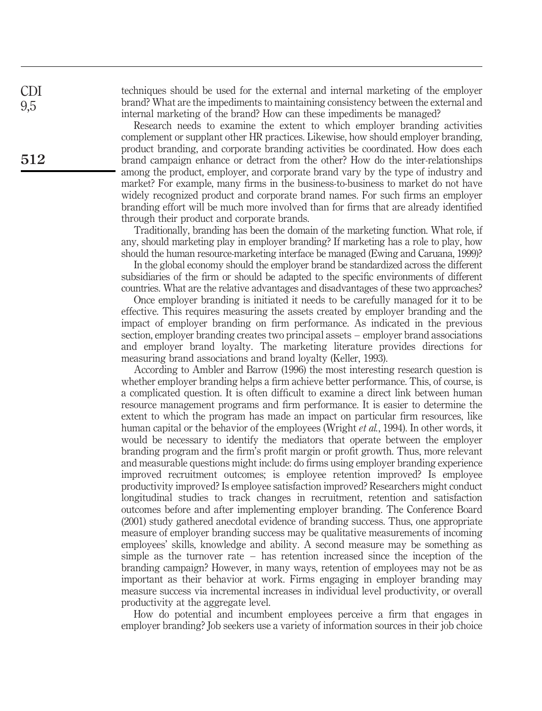techniques should be used for the external and internal marketing of the employer brand? What are the impediments to maintaining consistency between the external and internal marketing of the brand? How can these impediments be managed?

Research needs to examine the extent to which employer branding activities complement or supplant other HR practices. Likewise, how should employer branding, product branding, and corporate branding activities be coordinated. How does each brand campaign enhance or detract from the other? How do the inter-relationships among the product, employer, and corporate brand vary by the type of industry and market? For example, many firms in the business-to-business to market do not have widely recognized product and corporate brand names. For such firms an employer branding effort will be much more involved than for firms that are already identified through their product and corporate brands.

Traditionally, branding has been the domain of the marketing function. What role, if any, should marketing play in employer branding? If marketing has a role to play, how should the human resource-marketing interface be managed (Ewing and Caruana, 1999)?

In the global economy should the employer brand be standardized across the different subsidiaries of the firm or should be adapted to the specific environments of different countries. What are the relative advantages and disadvantages of these two approaches?

Once employer branding is initiated it needs to be carefully managed for it to be effective. This requires measuring the assets created by employer branding and the impact of employer branding on firm performance. As indicated in the previous section, employer branding creates two principal assets – employer brand associations and employer brand loyalty. The marketing literature provides directions for measuring brand associations and brand loyalty (Keller, 1993).

According to Ambler and Barrow (1996) the most interesting research question is whether employer branding helps a firm achieve better performance. This, of course, is a complicated question. It is often difficult to examine a direct link between human resource management programs and firm performance. It is easier to determine the extent to which the program has made an impact on particular firm resources, like human capital or the behavior of the employees (Wright *et al.*, 1994). In other words, it would be necessary to identify the mediators that operate between the employer branding program and the firm's profit margin or profit growth. Thus, more relevant and measurable questions might include: do firms using employer branding experience improved recruitment outcomes; is employee retention improved? Is employee productivity improved? Is employee satisfaction improved? Researchers might conduct longitudinal studies to track changes in recruitment, retention and satisfaction outcomes before and after implementing employer branding. The Conference Board (2001) study gathered anecdotal evidence of branding success. Thus, one appropriate measure of employer branding success may be qualitative measurements of incoming employees' skills, knowledge and ability. A second measure may be something as simple as the turnover rate – has retention increased since the inception of the branding campaign? However, in many ways, retention of employees may not be as important as their behavior at work. Firms engaging in employer branding may measure success via incremental increases in individual level productivity, or overall productivity at the aggregate level.

How do potential and incumbent employees perceive a firm that engages in employer branding? Job seekers use a variety of information sources in their job choice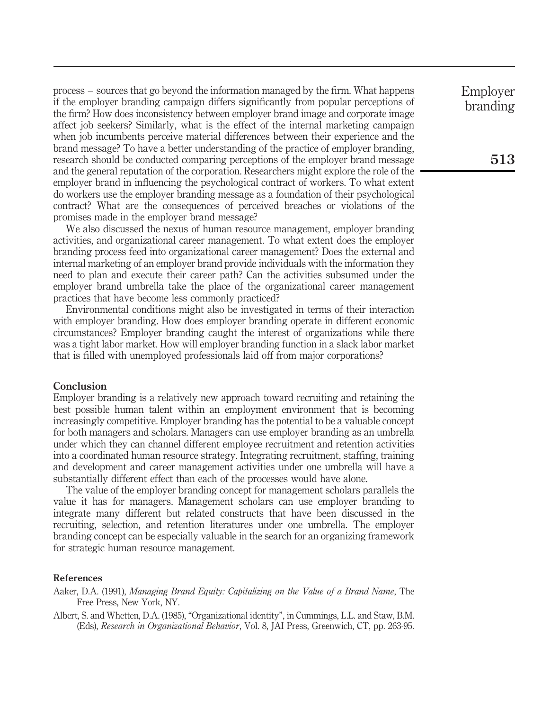process – sources that go beyond the information managed by the firm. What happens if the employer branding campaign differs significantly from popular perceptions of the firm? How does inconsistency between employer brand image and corporate image affect job seekers? Similarly, what is the effect of the internal marketing campaign when job incumbents perceive material differences between their experience and the brand message? To have a better understanding of the practice of employer branding, research should be conducted comparing perceptions of the employer brand message and the general reputation of the corporation. Researchers might explore the role of the employer brand in influencing the psychological contract of workers. To what extent do workers use the employer branding message as a foundation of their psychological contract? What are the consequences of perceived breaches or violations of the promises made in the employer brand message?

We also discussed the nexus of human resource management, employer branding activities, and organizational career management. To what extent does the employer branding process feed into organizational career management? Does the external and internal marketing of an employer brand provide individuals with the information they need to plan and execute their career path? Can the activities subsumed under the employer brand umbrella take the place of the organizational career management practices that have become less commonly practiced?

Environmental conditions might also be investigated in terms of their interaction with employer branding. How does employer branding operate in different economic circumstances? Employer branding caught the interest of organizations while there was a tight labor market. How will employer branding function in a slack labor market that is filled with unemployed professionals laid off from major corporations?

#### Conclusion

Employer branding is a relatively new approach toward recruiting and retaining the best possible human talent within an employment environment that is becoming increasingly competitive. Employer branding has the potential to be a valuable concept for both managers and scholars. Managers can use employer branding as an umbrella under which they can channel different employee recruitment and retention activities into a coordinated human resource strategy. Integrating recruitment, staffing, training and development and career management activities under one umbrella will have a substantially different effect than each of the processes would have alone.

The value of the employer branding concept for management scholars parallels the value it has for managers. Management scholars can use employer branding to integrate many different but related constructs that have been discussed in the recruiting, selection, and retention literatures under one umbrella. The employer branding concept can be especially valuable in the search for an organizing framework for strategic human resource management.

#### References

Aaker, D.A. (1991), Managing Brand Equity: Capitalizing on the Value of a Brand Name, The Free Press, New York, NY.

Albert, S. and Whetten, D.A. (1985), "Organizational identity", in Cummings, L.L. and Staw, B.M. (Eds), Research in Organizational Behavior, Vol. 8, JAI Press, Greenwich, CT, pp. 263-95. Employer branding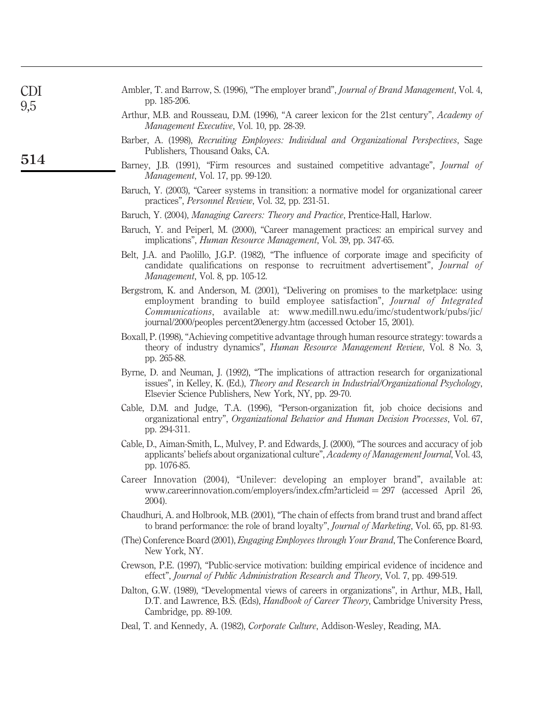| <b>CDI</b><br>9,5 | Ambler, T. and Barrow, S. (1996), "The employer brand", <i>Journal of Brand Management</i> , Vol. 4,<br>pp. 185-206.                                                                                                                                                                                                          |
|-------------------|-------------------------------------------------------------------------------------------------------------------------------------------------------------------------------------------------------------------------------------------------------------------------------------------------------------------------------|
|                   | Arthur, M.B. and Rousseau, D.M. (1996), "A career lexicon for the 21st century", Academy of<br>Management Executive, Vol. 10, pp. 28-39.                                                                                                                                                                                      |
|                   | Barber, A. (1998), Recruiting Employees: Individual and Organizational Perspectives, Sage<br>Publishers, Thousand Oaks, CA.                                                                                                                                                                                                   |
| 514               | Barney, J.B. (1991), "Firm resources and sustained competitive advantage", Journal of<br>Management, Vol. 17, pp. 99-120.                                                                                                                                                                                                     |
|                   | Baruch, Y. (2003), "Career systems in transition: a normative model for organizational career<br>practices", <i>Personnel Review</i> , Vol. 32, pp. 231-51.                                                                                                                                                                   |
|                   | Baruch, Y. (2004), Managing Careers: Theory and Practice, Prentice-Hall, Harlow.                                                                                                                                                                                                                                              |
|                   | Baruch, Y. and Peiperl, M. (2000), "Career management practices: an empirical survey and<br>implications", <i>Human Resource Management</i> , Vol. 39, pp. 347-65.                                                                                                                                                            |
|                   | Belt, J.A. and Paolillo, J.G.P. (1982), "The influence of corporate image and specificity of<br>candidate qualifications on response to recruitment advertisement", Journal of<br><i>Management, Vol. 8, pp. 105-12.</i>                                                                                                      |
|                   | Bergstrom, K. and Anderson, M. (2001), "Delivering on promises to the marketplace: using<br>employment branding to build employee satisfaction", Journal of Integrated<br>Communications, available at: www.medill.nwu.edu/imc/studentwork/pubs/jic/<br>journal/2000/peoples percent20energy.htm (accessed October 15, 2001). |
|                   | Boxall, P. (1998), "Achieving competitive advantage through human resource strategy: towards a<br>theory of industry dynamics", Human Resource Management Review, Vol. 8 No. 3,<br>pp. 265-88.                                                                                                                                |
|                   | Byrne, D. and Neuman, J. (1992), "The implications of attraction research for organizational<br>issues", in Kelley, K. (Ed.), Theory and Research in Industrial/Organizational Psychology,<br>Elsevier Science Publishers, New York, NY, pp. 29-70.                                                                           |
|                   | Cable, D.M. and Judge, T.A. (1996), "Person-organization fit, job choice decisions and<br>organizational entry", Organizational Behavior and Human Decision Processes, Vol. 67,<br>pp. 294-311.                                                                                                                               |
|                   | Cable, D., Aiman-Smith, L., Mulvey, P. and Edwards, J. (2000), "The sources and accuracy of job<br>applicants' beliefs about organizational culture", Academy of Management Journal, Vol. 43,<br>pp. 1076-85.                                                                                                                 |
|                   | Career Innovation (2004), "Unilever: developing an employer brand", available at:<br>www.careerinnovation.com/employers/index.cfm?articleid = 297 (accessed April 26,<br>2004).                                                                                                                                               |
|                   | Chaudhuri, A. and Holbrook, M.B. (2001), "The chain of effects from brand trust and brand affect<br>to brand performance: the role of brand loyalty", Journal of Marketing, Vol. 65, pp. 81-93.                                                                                                                               |
|                   | (The) Conference Board (2001), <i>Engaging Employees through Your Brand</i> , The Conference Board,<br>New York, NY.                                                                                                                                                                                                          |
|                   | Crewson, P.E. (1997), "Public-service motivation: building empirical evidence of incidence and<br>effect", Journal of Public Administration Research and Theory, Vol. 7, pp. 499-519.                                                                                                                                         |
|                   | Dalton, G.W. (1989), "Developmental views of careers in organizations", in Arthur, M.B., Hall,<br>D.T. and Lawrence, B.S. (Eds), Handbook of Career Theory, Cambridge University Press,<br>Cambridge, pp. 89-109.                                                                                                             |
|                   | Deal, T. and Kennedy, A. (1982), <i>Corporate Culture</i> , Addison-Wesley, Reading, MA.                                                                                                                                                                                                                                      |
|                   |                                                                                                                                                                                                                                                                                                                               |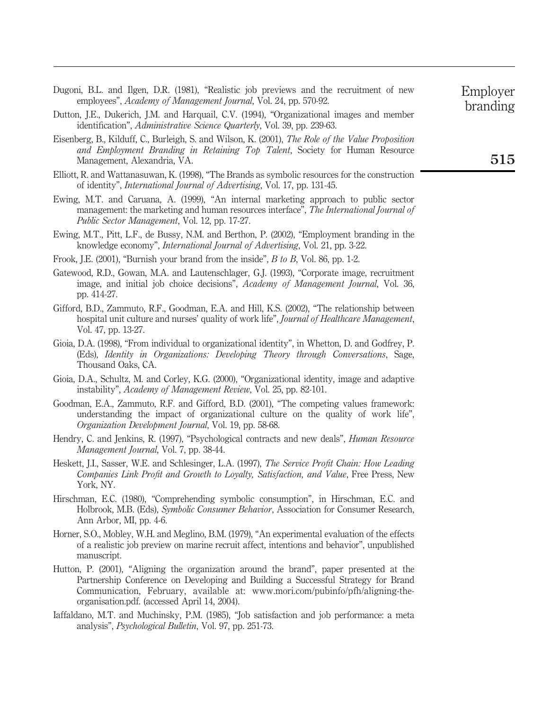- Dugoni, B.L. and Ilgen, D.R. (1981), "Realistic job previews and the recruitment of new employees", Academy of Management Journal, Vol. 24, pp. 570-92.
- Dutton, J.E., Dukerich, J.M. and Harquail, C.V. (1994), "Organizational images and member identification", Administrative Science Quarterly, Vol. 39, pp. 239-63.
- Eisenberg, B., Kilduff, C., Burleigh, S. and Wilson, K. (2001), The Role of the Value Proposition and Employment Branding in Retaining Top Talent, Society for Human Resource Management, Alexandria, VA.
- Elliott, R. and Wattanasuwan, K. (1998), "The Brands as symbolic resources for the construction of identity", International Journal of Advertising, Vol. 17, pp. 131-45.
- Ewing, M.T. and Caruana, A. (1999), "An internal marketing approach to public sector management: the marketing and human resources interface", The International Journal of Public Sector Management, Vol. 12, pp. 17-27.
- Ewing, M.T., Pitt, L.F., de Bussy, N.M. and Berthon, P. (2002), "Employment branding in the knowledge economy", International Journal of Advertising, Vol. 21, pp. 3-22.
- Frook, J.E. (2001), "Burnish your brand from the inside", B to B, Vol. 86, pp. 1-2.
- Gatewood, R.D., Gowan, M.A. and Lautenschlager, G.J. (1993), "Corporate image, recruitment image, and initial job choice decisions", Academy of Management Journal, Vol. 36, pp. 414-27.
- Gifford, B.D., Zammuto, R.F., Goodman, E.A. and Hill, K.S. (2002), "The relationship between hospital unit culture and nurses' quality of work life", *Journal of Healthcare Management*, Vol. 47, pp. 13-27.
- Gioia, D.A. (1998), "From individual to organizational identity", in Whetton, D. and Godfrey, P. (Eds), Identity in Organizations: Developing Theory through Conversations, Sage, Thousand Oaks, CA.
- Gioia, D.A., Schultz, M. and Corley, K.G. (2000), "Organizational identity, image and adaptive instability", Academy of Management Review, Vol. 25, pp. 82-101.
- Goodman, E.A., Zammuto, R.F. and Gifford, B.D. (2001), "The competing values framework: understanding the impact of organizational culture on the quality of work life", Organization Development Journal, Vol. 19, pp. 58-68.
- Hendry, C. and Jenkins, R. (1997), "Psychological contracts and new deals", *Human Resource* Management Journal, Vol. 7, pp. 38-44.
- Heskett, J.I., Sasser, W.E. and Schlesinger, L.A. (1997), The Service Profit Chain: How Leading Companies Link Profit and Growth to Loyalty, Satisfaction, and Value, Free Press, New York, NY.
- Hirschman, E.C. (1980), "Comprehending symbolic consumption", in Hirschman, E.C. and Holbrook, M.B. (Eds), Symbolic Consumer Behavior, Association for Consumer Research, Ann Arbor, MI, pp. 4-6.
- Horner, S.O., Mobley, W.H. and Meglino, B.M. (1979), "An experimental evaluation of the effects of a realistic job preview on marine recruit affect, intentions and behavior", unpublished manuscript.
- Hutton, P. (2001), "Aligning the organization around the brand", paper presented at the Partnership Conference on Developing and Building a Successful Strategy for Brand Communication, February, available at: www.mori.com/pubinfo/pfh/aligning-theorganisation.pdf. (accessed April 14, 2004).
- Iaffaldano, M.T. and Muchinsky, P.M. (1985), "Job satisfaction and job performance: a meta analysis", Psychological Bulletin, Vol. 97, pp. 251-73.

Employer branding

## 515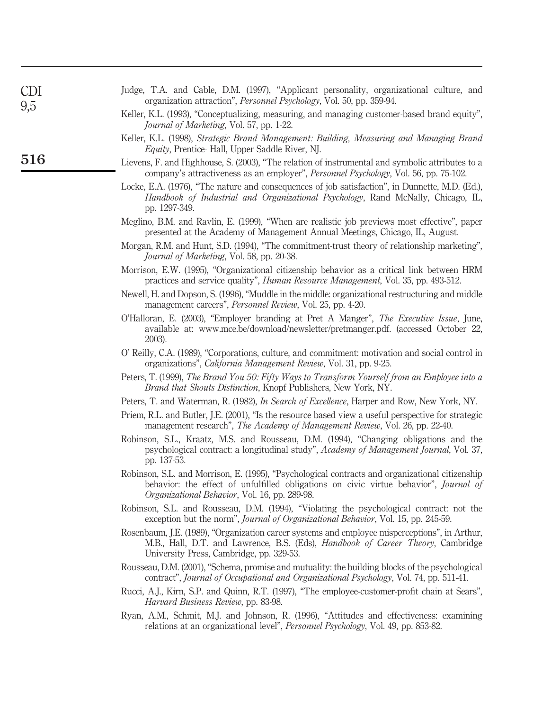| <b>CDI</b> | Judge, T.A. and Cable, D.M. (1997), "Applicant personality, organizational culture, and<br>organization attraction", <i>Personnel Psychology</i> , Vol. 50, pp. 359-94.                                                                   |
|------------|-------------------------------------------------------------------------------------------------------------------------------------------------------------------------------------------------------------------------------------------|
| 9,5        | Keller, K.L. (1993), "Conceptualizing, measuring, and managing customer-based brand equity",<br><i>Journal of Marketing</i> , Vol. 57, pp. 1-22.                                                                                          |
|            | Keller, K.L. (1998), Strategic Brand Management: Building, Measuring and Managing Brand<br>Equity, Prentice- Hall, Upper Saddle River, NJ.                                                                                                |
| 516        | Lievens, F. and Highhouse, S. (2003), "The relation of instrumental and symbolic attributes to a<br>company's attractiveness as an employer", Personnel Psychology, Vol. 56, pp. 75-102.                                                  |
|            | Locke, E.A. (1976), "The nature and consequences of job satisfaction", in Dunnette, M.D. (Ed.),<br>Handbook of Industrial and Organizational Psychology, Rand McNally, Chicago, IL,<br>pp. 1297-349.                                      |
|            | Meglino, B.M. and Ravlin, E. (1999), "When are realistic job previews most effective", paper<br>presented at the Academy of Management Annual Meetings, Chicago, IL, August.                                                              |
|            | Morgan, R.M. and Hunt, S.D. (1994), "The commitment-trust theory of relationship marketing",<br><i>Journal of Marketing</i> , Vol. 58, pp. 20-38.                                                                                         |
|            | Morrison, E.W. (1995), "Organizational citizenship behavior as a critical link between HRM<br>practices and service quality", Human Resource Management, Vol. 35, pp. 493-512.                                                            |
|            | Newell, H. and Dopson, S. (1996), "Muddle in the middle: organizational restructuring and middle<br>management careers", <i>Personnel Review</i> , Vol. 25, pp. 4-20.                                                                     |
|            | O'Halloran, E. (2003), "Employer branding at Pret A Manger", The Executive Issue, June,<br>available at: www.mce.be/download/newsletter/pretmanger.pdf. (accessed October 22,<br>2003).                                                   |
|            | O' Reilly, C.A. (1989), "Corporations, culture, and commitment: motivation and social control in<br>organizations", <i>California Management Review</i> , Vol. 31, pp. 9-25.                                                              |
|            | Peters, T. (1999), The Brand You 50: Fifty Ways to Transform Yourself from an Employee into a<br>Brand that Shouts Distinction, Knopf Publishers, New York, NY.                                                                           |
|            | Peters, T. and Waterman, R. (1982), <i>In Search of Excellence</i> , Harper and Row, New York, NY.                                                                                                                                        |
|            | Priem, R.L. and Butler, J.E. (2001), "Is the resource based view a useful perspective for strategic<br>management research", The Academy of Management Review, Vol. 26, pp. 22-40.                                                        |
|            | Robinson, S.L., Kraatz, M.S. and Rousseau, D.M. (1994), "Changing obligations and the<br>psychological contract: a longitudinal study", Academy of Management Journal, Vol. 37,<br>pp. 137-53.                                            |
|            | Robinson, S.L. and Morrison, E. (1995), "Psychological contracts and organizational citizenship<br>behavior: the effect of unfulfilled obligations on civic virtue behavior", Journal of<br>Organizational Behavior, Vol. 16, pp. 289-98. |
|            | Robinson, S.L. and Rousseau, D.M. (1994), "Violating the psychological contract: not the<br>exception but the norm", Journal of Organizational Behavior, Vol. 15, pp. 245-59.                                                             |
|            | Rosenbaum, J.E. (1989), "Organization career systems and employee misperceptions", in Arthur,<br>M.B., Hall, D.T. and Lawrence, B.S. (Eds), <i>Handbook of Career Theory</i> , Cambridge<br>University Press, Cambridge, pp. 329-53.      |
|            | Rousseau, D.M. (2001), "Schema, promise and mutuality: the building blocks of the psychological<br>contract", Journal of Occupational and Organizational Psychology, Vol. 74, pp. 511-41.                                                 |
|            | Rucci, A.J., Kirn, S.P. and Quinn, R.T. (1997), "The employee-customer-profit chain at Sears",<br><i>Harvard Business Review</i> , pp. 83-98.                                                                                             |
|            | Ryan, A.M., Schmit, M.J. and Johnson, R. (1996), "Attitudes and effectiveness: examining<br>relations at an organizational level", Personnel Psychology, Vol. 49, pp. 853-82.                                                             |
|            |                                                                                                                                                                                                                                           |